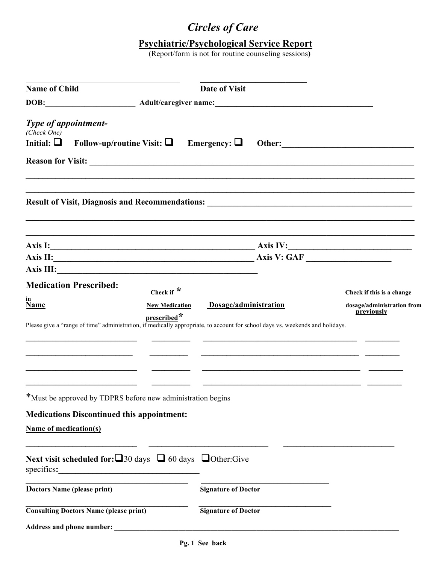## *Circles of Care*

## **Psychiatric/Psychological Service Report**

(Report/form is not for routine counseling sessions**)**

| <b>Name of Child</b>                                                                                                                                     | Date of Visit              |                                          |
|----------------------------------------------------------------------------------------------------------------------------------------------------------|----------------------------|------------------------------------------|
|                                                                                                                                                          |                            |                                          |
| Type of appointment-<br>(Check One)                                                                                                                      |                            |                                          |
| Follow-up/routine Visit: $\Box$ Emergency: $\Box$<br>Initial: $\Box$                                                                                     | Other:                     |                                          |
|                                                                                                                                                          |                            |                                          |
|                                                                                                                                                          |                            |                                          |
|                                                                                                                                                          |                            |                                          |
| Axis II: <u>Axis II: Axis V: GAF</u>                                                                                                                     |                            |                                          |
|                                                                                                                                                          |                            |                                          |
| <b>Medication Prescribed:</b><br>Check if $*$                                                                                                            |                            | Check if this is a change                |
| in<br>Name<br><b>New Medication</b>                                                                                                                      | Dosage/administration      | dosage/administration from<br>previously |
| prescribed <sup>*</sup><br>Please give a "range of time" administration, if medically appropriate, to account for school days vs. weekends and holidays. |                            |                                          |
|                                                                                                                                                          |                            |                                          |
|                                                                                                                                                          |                            |                                          |
| *Must be approved by TDPRS before new administration begins                                                                                              |                            |                                          |
| <b>Medications Discontinued this appointment:</b>                                                                                                        |                            |                                          |
| <b>Name of medication(s)</b>                                                                                                                             |                            |                                          |
| Next visit scheduled for: $\Box$ 30 days $\Box$ 60 days $\Box$ Other: Give<br>specifies:                                                                 |                            |                                          |
| Doctors Name (please print)                                                                                                                              | <b>Signature of Doctor</b> |                                          |
| <b>Consulting Doctors Name (please print)</b>                                                                                                            | <b>Signature of Doctor</b> |                                          |
| Address and phone number:                                                                                                                                |                            |                                          |